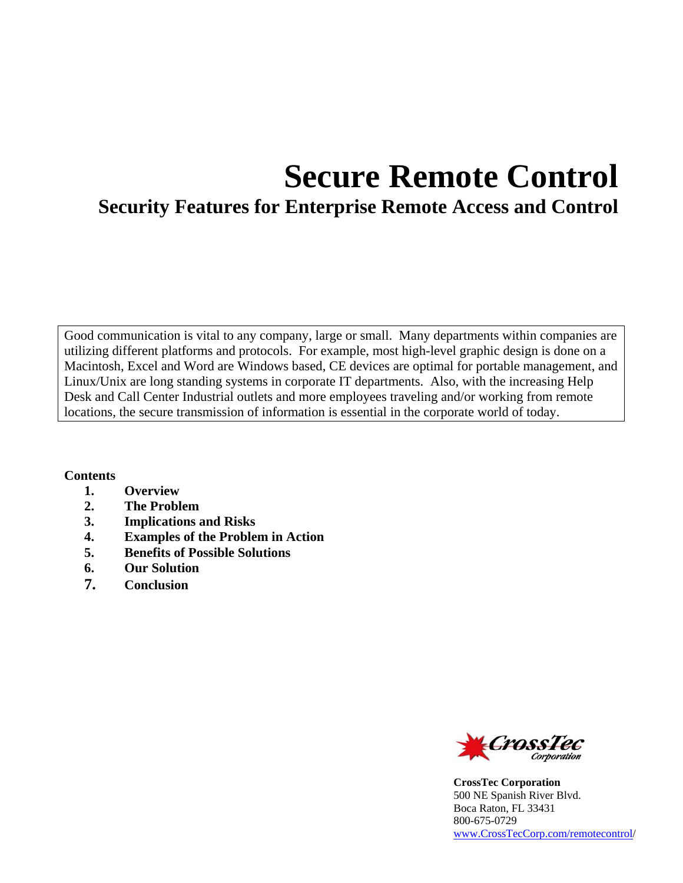# **Secure Remote Control**

## **Security Features for Enterprise Remote Access and Control**

Good communication is vital to any company, large or small. Many departments within companies are utilizing different platforms and protocols. For example, most high-level graphic design is done on a Macintosh, Excel and Word are Windows based, CE devices are optimal for portable management, and Linux/Unix are long standing systems in corporate IT departments. Also, with the increasing Help Desk and Call Center Industrial outlets and more employees traveling and/or working from remote locations, the secure transmission of information is essential in the corporate world of today.

#### **Contents**

- **1. Overview**
- **2. The Problem**
- **3. Implications and Risks**
- **4. Examples of the Problem in Action**
- **5. Benefits of Possible Solutions**
- **6. Our Solution**
- **7. Conclusion**



**CrossTec Corporation**  500 NE Spanish River Blvd. Boca Raton, FL 33431 800-675-0729 www.CrossTecCorp.com/remotecontrol/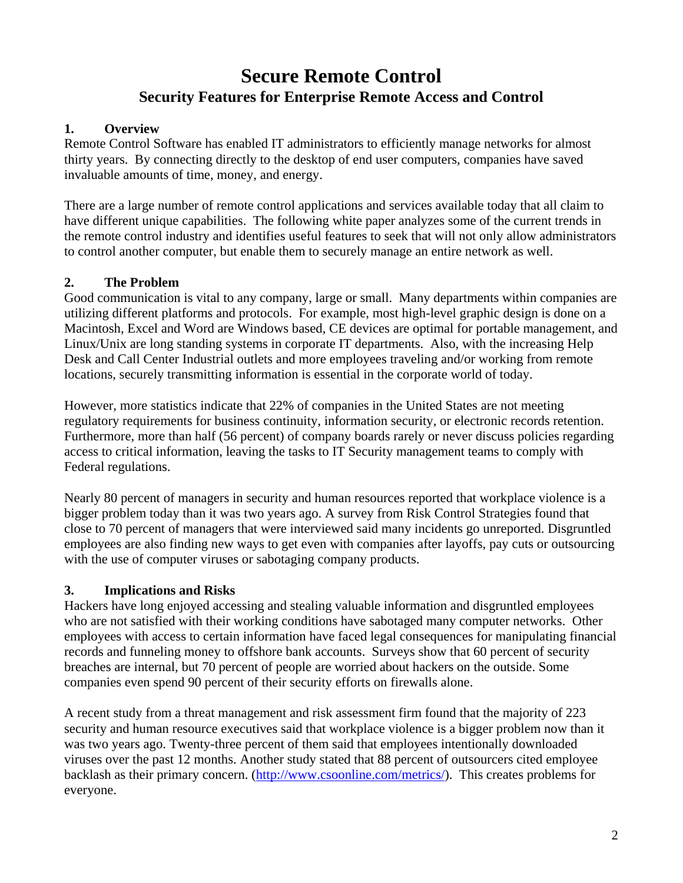# **Secure Remote Control Security Features for Enterprise Remote Access and Control**

#### **1. Overview**

Remote Control Software has enabled IT administrators to efficiently manage networks for almost thirty years. By connecting directly to the desktop of end user computers, companies have saved invaluable amounts of time, money, and energy.

There are a large number of remote control applications and services available today that all claim to have different unique capabilities. The following white paper analyzes some of the current trends in the remote control industry and identifies useful features to seek that will not only allow administrators to control another computer, but enable them to securely manage an entire network as well.

#### **2. The Problem**

Good communication is vital to any company, large or small. Many departments within companies are utilizing different platforms and protocols. For example, most high-level graphic design is done on a Macintosh, Excel and Word are Windows based, CE devices are optimal for portable management, and Linux/Unix are long standing systems in corporate IT departments. Also, with the increasing Help Desk and Call Center Industrial outlets and more employees traveling and/or working from remote locations, securely transmitting information is essential in the corporate world of today.

However, more statistics indicate that 22% of companies in the United States are not meeting regulatory requirements for business continuity, information security, or electronic records retention. Furthermore, more than half (56 percent) of company boards rarely or never discuss policies regarding access to critical information, leaving the tasks to IT Security management teams to comply with Federal regulations.

Nearly 80 percent of managers in security and human resources reported that workplace violence is a bigger problem today than it was two years ago. A survey from Risk Control Strategies found that close to 70 percent of managers that were interviewed said many incidents go unreported. Disgruntled employees are also finding new ways to get even with companies after layoffs, pay cuts or outsourcing with the use of computer viruses or sabotaging company products.

#### **3. Implications and Risks**

Hackers have long enjoyed accessing and stealing valuable information and disgruntled employees who are not satisfied with their working conditions have sabotaged many computer networks. Other employees with access to certain information have faced legal consequences for manipulating financial records and funneling money to offshore bank accounts. Surveys show that 60 percent of security breaches are internal, but 70 percent of people are worried about hackers on the outside. Some companies even spend 90 percent of their security efforts on firewalls alone.

A recent study from a threat management and risk assessment firm found that the majority of 223 security and human resource executives said that workplace violence is a bigger problem now than it was two years ago. Twenty-three percent of them said that employees intentionally downloaded viruses over the past 12 months. Another study stated that 88 percent of outsourcers cited employee backlash as their primary concern. (http://www.csoonline.com/metrics/). This creates problems for everyone.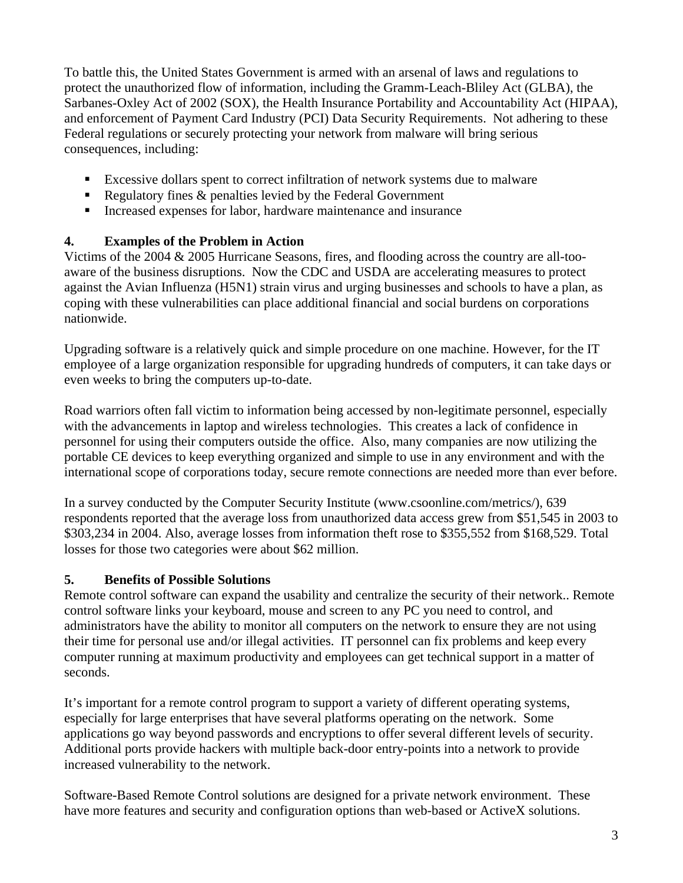To battle this, the United States Government is armed with an arsenal of laws and regulations to protect the unauthorized flow of information, including the Gramm-Leach-Bliley Act (GLBA), the Sarbanes-Oxley Act of 2002 (SOX), the Health Insurance Portability and Accountability Act (HIPAA), and enforcement of Payment Card Industry (PCI) Data Security Requirements. Not adhering to these Federal regulations or securely protecting your network from malware will bring serious consequences, including:

- Excessive dollars spent to correct infiltration of network systems due to malware
- Regulatory fines  $\&$  penalties levied by the Federal Government
- Increased expenses for labor, hardware maintenance and insurance

## **4. Examples of the Problem in Action**

Victims of the 2004 & 2005 Hurricane Seasons, fires, and flooding across the country are all-tooaware of the business disruptions. Now the CDC and USDA are accelerating measures to protect against the Avian Influenza (H5N1) strain virus and urging businesses and schools to have a plan, as coping with these vulnerabilities can place additional financial and social burdens on corporations nationwide.

Upgrading software is a relatively quick and simple procedure on one machine. However, for the IT employee of a large organization responsible for upgrading hundreds of computers, it can take days or even weeks to bring the computers up-to-date.

Road warriors often fall victim to information being accessed by non-legitimate personnel, especially with the advancements in laptop and wireless technologies. This creates a lack of confidence in personnel for using their computers outside the office. Also, many companies are now utilizing the portable CE devices to keep everything organized and simple to use in any environment and with the international scope of corporations today, secure remote connections are needed more than ever before.

In a survey conducted by the Computer Security Institute (www.csoonline.com/metrics/), 639 respondents reported that the average loss from unauthorized data access grew from \$51,545 in 2003 to \$303,234 in 2004. Also, average losses from information theft rose to \$355,552 from \$168,529. Total losses for those two categories were about \$62 million.

## **5. Benefits of Possible Solutions**

Remote control software can expand the usability and centralize the security of their network.. Remote control software links your keyboard, mouse and screen to any PC you need to control, and administrators have the ability to monitor all computers on the network to ensure they are not using their time for personal use and/or illegal activities. IT personnel can fix problems and keep every computer running at maximum productivity and employees can get technical support in a matter of seconds.

It's important for a remote control program to support a variety of different operating systems, especially for large enterprises that have several platforms operating on the network. Some applications go way beyond passwords and encryptions to offer several different levels of security. Additional ports provide hackers with multiple back-door entry-points into a network to provide increased vulnerability to the network.

Software-Based Remote Control solutions are designed for a private network environment. These have more features and security and configuration options than web-based or ActiveX solutions.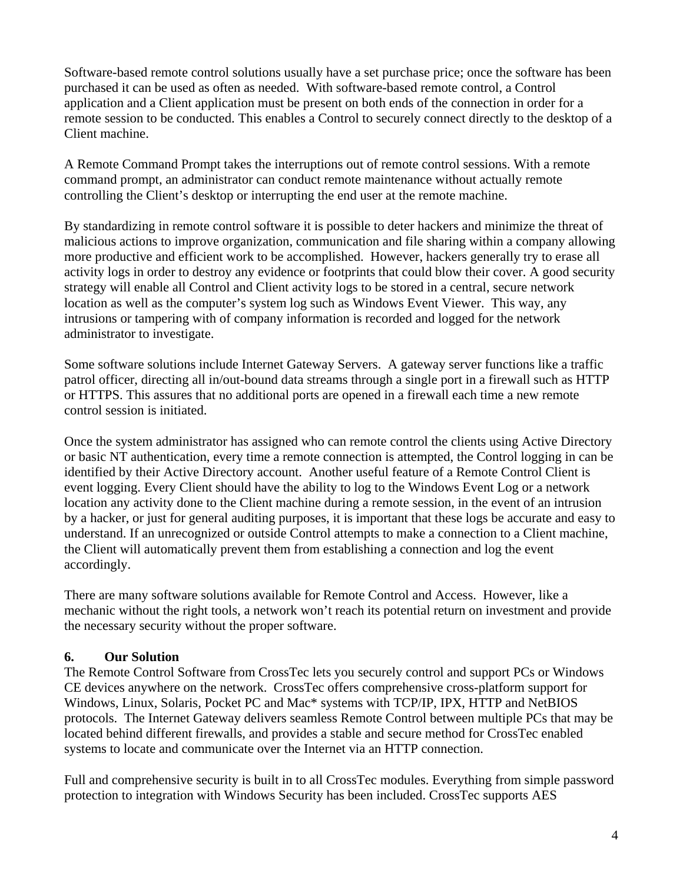Software-based remote control solutions usually have a set purchase price; once the software has been purchased it can be used as often as needed. With software-based remote control, a Control application and a Client application must be present on both ends of the connection in order for a remote session to be conducted. This enables a Control to securely connect directly to the desktop of a Client machine.

A Remote Command Prompt takes the interruptions out of remote control sessions. With a remote command prompt, an administrator can conduct remote maintenance without actually remote controlling the Client's desktop or interrupting the end user at the remote machine.

By standardizing in remote control software it is possible to deter hackers and minimize the threat of malicious actions to improve organization, communication and file sharing within a company allowing more productive and efficient work to be accomplished. However, hackers generally try to erase all activity logs in order to destroy any evidence or footprints that could blow their cover. A good security strategy will enable all Control and Client activity logs to be stored in a central, secure network location as well as the computer's system log such as Windows Event Viewer. This way, any intrusions or tampering with of company information is recorded and logged for the network administrator to investigate.

Some software solutions include Internet Gateway Servers. A gateway server functions like a traffic patrol officer, directing all in/out-bound data streams through a single port in a firewall such as HTTP or HTTPS. This assures that no additional ports are opened in a firewall each time a new remote control session is initiated.

Once the system administrator has assigned who can remote control the clients using Active Directory or basic NT authentication, every time a remote connection is attempted, the Control logging in can be identified by their Active Directory account. Another useful feature of a Remote Control Client is event logging. Every Client should have the ability to log to the Windows Event Log or a network location any activity done to the Client machine during a remote session, in the event of an intrusion by a hacker, or just for general auditing purposes, it is important that these logs be accurate and easy to understand. If an unrecognized or outside Control attempts to make a connection to a Client machine, the Client will automatically prevent them from establishing a connection and log the event accordingly.

There are many software solutions available for Remote Control and Access. However, like a mechanic without the right tools, a network won't reach its potential return on investment and provide the necessary security without the proper software.

#### **6. Our Solution**

The Remote Control Software from CrossTec lets you securely control and support PCs or Windows CE devices anywhere on the network. CrossTec offers comprehensive cross-platform support for Windows, Linux, Solaris, Pocket PC and Mac\* systems with TCP/IP, IPX, HTTP and NetBIOS protocols. The Internet Gateway delivers seamless Remote Control between multiple PCs that may be located behind different firewalls, and provides a stable and secure method for CrossTec enabled systems to locate and communicate over the Internet via an HTTP connection.

Full and comprehensive security is built in to all CrossTec modules. Everything from simple password protection to integration with Windows Security has been included. CrossTec supports AES